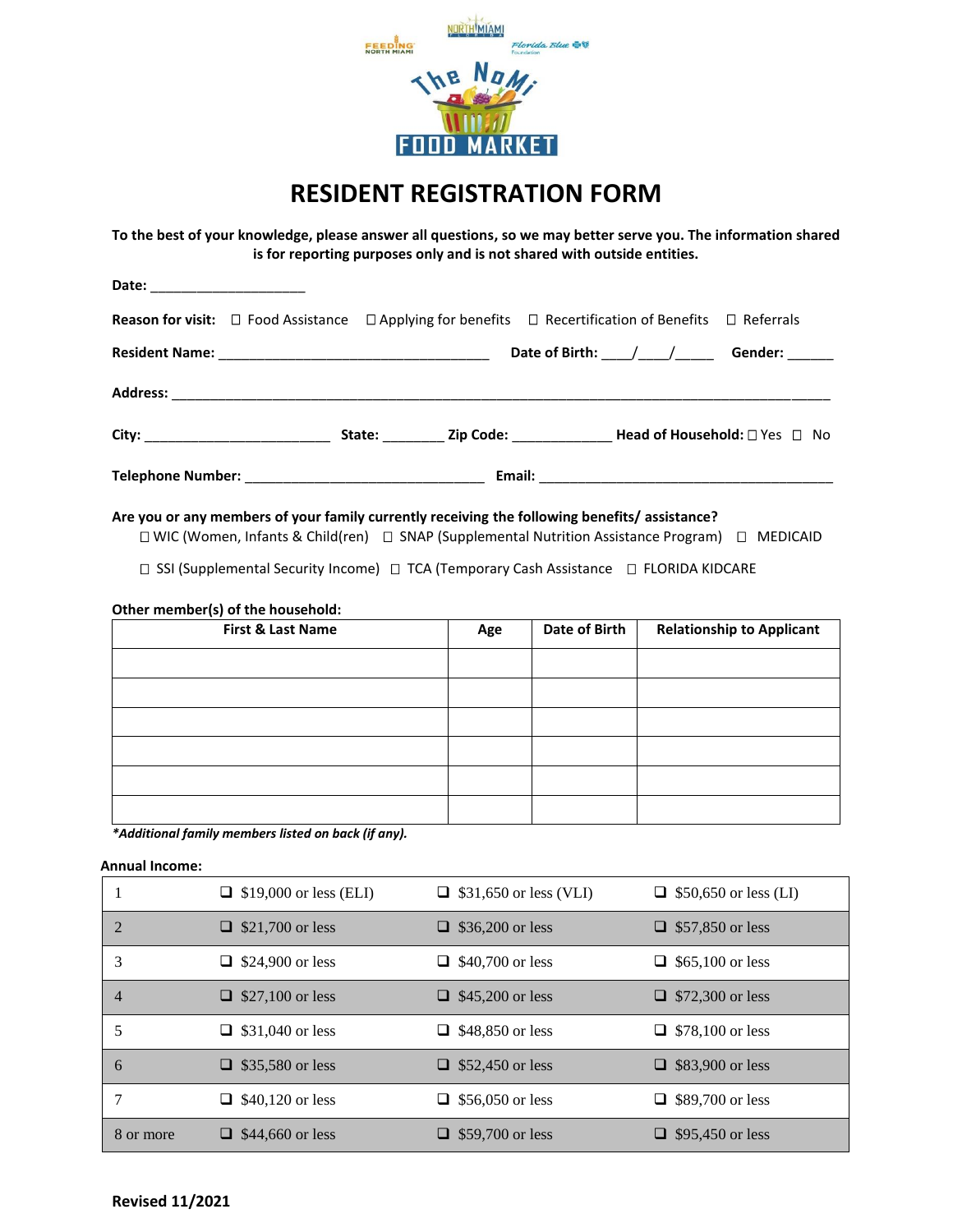

## **RESIDENT REGISTRATION FORM**

**To the best of your knowledge, please answer all questions, so we may better serve you. The information shared is for reporting purposes only and is not shared with outside entities.**

| Date: _________________________ |  |                                                                                                                                  |  |
|---------------------------------|--|----------------------------------------------------------------------------------------------------------------------------------|--|
|                                 |  | <b>Reason for visit:</b> $\Box$ Food Assistance $\Box$ Applying for benefits $\Box$ Recertification of Benefits $\Box$ Referrals |  |
|                                 |  |                                                                                                                                  |  |
|                                 |  |                                                                                                                                  |  |
|                                 |  |                                                                                                                                  |  |
|                                 |  |                                                                                                                                  |  |

## **Are you or any members of your family currently receiving the following benefits/ assistance?**

□ WIC (Women, Infants & Child(ren) □ SNAP (Supplemental Nutrition Assistance Program) □ MEDICAID

□ SSI (Supplemental Security Income) □ TCA (Temporary Cash Assistance □ FLORIDA KIDCARE

## **Other member(s) of the household:**

| First & Last Name | Age | Date of Birth | <b>Relationship to Applicant</b> |
|-------------------|-----|---------------|----------------------------------|
|                   |     |               |                                  |
|                   |     |               |                                  |
|                   |     |               |                                  |
|                   |     |               |                                  |
|                   |     |               |                                  |
|                   |     |               |                                  |

*\*Additional family members listed on back (if any).*

## **Annual Income:**

|           | $\Box$ \$19,000 or less (ELI) | $\Box$ \$31,650 or less (VLI) | $\Box$ \$50,650 or less (LI) |
|-----------|-------------------------------|-------------------------------|------------------------------|
| 2         | $\Box$ \$21,700 or less       | \$36,200 or less              | $\Box$ \$57,850 or less      |
| 3         | $\Box$ \$24,900 or less       | $\Box$ \$40,700 or less       | $\Box$ \$65,100 or less      |
| 4         | $\Box$ \$27,100 or less       | \$45,200 or less              | $\Box$ \$72,300 or less      |
| 5         | $\Box$ \$31,040 or less       | \$48,850 or less<br>⊔.        | $\Box$ \$78,100 or less      |
| 6         | $\Box$ \$35,580 or less       | $\Box$ \$52,450 or less       | $\Box$ \$83,900 or less      |
|           | $\Box$ \$40,120 or less       | $\Box$ \$56,050 or less       | $\Box$ \$89,700 or less      |
| 8 or more | $\Box$ \$44,660 or less       | \$59,700 or less              | $\Box$ \$95,450 or less      |